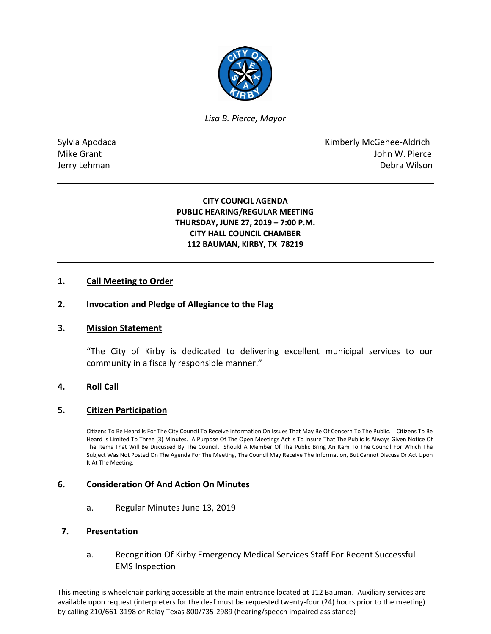

*Lisa B. Pierce, Mayor* 

Sylvia Apodaca **Kimberly McGehee-Aldrich** Mike Grant **Mike Grant** John W. Pierce Jerry Lehman Debra Wilson

> **CITY COUNCIL AGENDA PUBLIC HEARING/REGULAR MEETING THURSDAY, JUNE 27, 2019 – 7:00 P.M. CITY HALL COUNCIL CHAMBER 112 BAUMAN, KIRBY, TX 78219**

## **1. Call Meeting to Order**

### **2. Invocation and Pledge of Allegiance to the Flag**

### **3. Mission Statement**

"The City of Kirby is dedicated to delivering excellent municipal services to our community in a fiscally responsible manner."

### **4. Roll Call**

### **5. Citizen Participation**

Citizens To Be Heard Is For The City Council To Receive Information On Issues That May Be Of Concern To The Public. Citizens To Be Heard Is Limited To Three (3) Minutes. A Purpose Of The Open Meetings Act Is To Insure That The Public Is Always Given Notice Of The Items That Will Be Discussed By The Council. Should A Member Of The Public Bring An Item To The Council For Which The Subject Was Not Posted On The Agenda For The Meeting, The Council May Receive The Information, But Cannot Discuss Or Act Upon It At The Meeting.

### **6. Consideration Of And Action On Minutes**

a. Regular Minutes June 13, 2019

#### **7. Presentation**

a. Recognition Of Kirby Emergency Medical Services Staff For Recent Successful EMS Inspection

This meeting is wheelchair parking accessible at the main entrance located at 112 Bauman. Auxiliary services are available upon request (interpreters for the deaf must be requested twenty-four (24) hours prior to the meeting) by calling 210/661-3198 or Relay Texas 800/735-2989 (hearing/speech impaired assistance)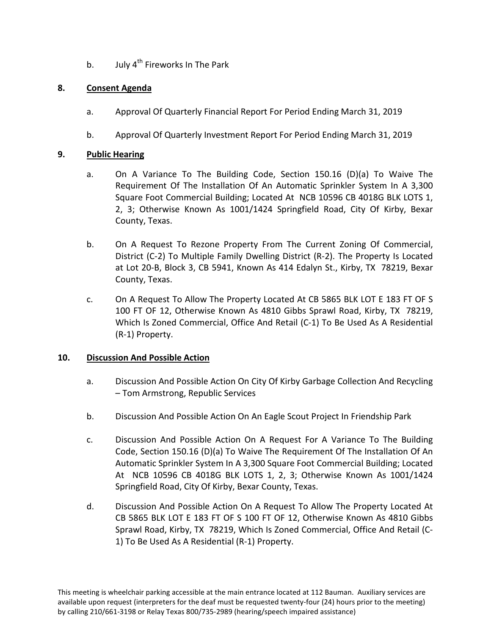b. July  $4^{th}$  Fireworks In The Park

# **8. Consent Agenda**

- a. Approval Of Quarterly Financial Report For Period Ending March 31, 2019
- b. Approval Of Quarterly Investment Report For Period Ending March 31, 2019

# **9. Public Hearing**

- a. On A Variance To The Building Code, Section 150.16 (D)(a) To Waive The Requirement Of The Installation Of An Automatic Sprinkler System In A 3,300 Square Foot Commercial Building; Located At NCB 10596 CB 4018G BLK LOTS 1, 2, 3; Otherwise Known As 1001/1424 Springfield Road, City Of Kirby, Bexar County, Texas.
- b. On A Request To Rezone Property From The Current Zoning Of Commercial, District (C-2) To Multiple Family Dwelling District (R-2). The Property Is Located at Lot 20-B, Block 3, CB 5941, Known As 414 Edalyn St., Kirby, TX 78219, Bexar County, Texas.
- c. On A Request To Allow The Property Located At CB 5865 BLK LOT E 183 FT OF S 100 FT OF 12, Otherwise Known As 4810 Gibbs Sprawl Road, Kirby, TX 78219, Which Is Zoned Commercial, Office And Retail (C-1) To Be Used As A Residential (R-1) Property.

# **10. Discussion And Possible Action**

- a. Discussion And Possible Action On City Of Kirby Garbage Collection And Recycling – Tom Armstrong, Republic Services
- b. Discussion And Possible Action On An Eagle Scout Project In Friendship Park
- c. Discussion And Possible Action On A Request For A Variance To The Building Code, Section 150.16 (D)(a) To Waive The Requirement Of The Installation Of An Automatic Sprinkler System In A 3,300 Square Foot Commercial Building; Located At NCB 10596 CB 4018G BLK LOTS 1, 2, 3; Otherwise Known As 1001/1424 Springfield Road, City Of Kirby, Bexar County, Texas.
- d. Discussion And Possible Action On A Request To Allow The Property Located At CB 5865 BLK LOT E 183 FT OF S 100 FT OF 12, Otherwise Known As 4810 Gibbs Sprawl Road, Kirby, TX 78219, Which Is Zoned Commercial, Office And Retail (C-1) To Be Used As A Residential (R-1) Property.